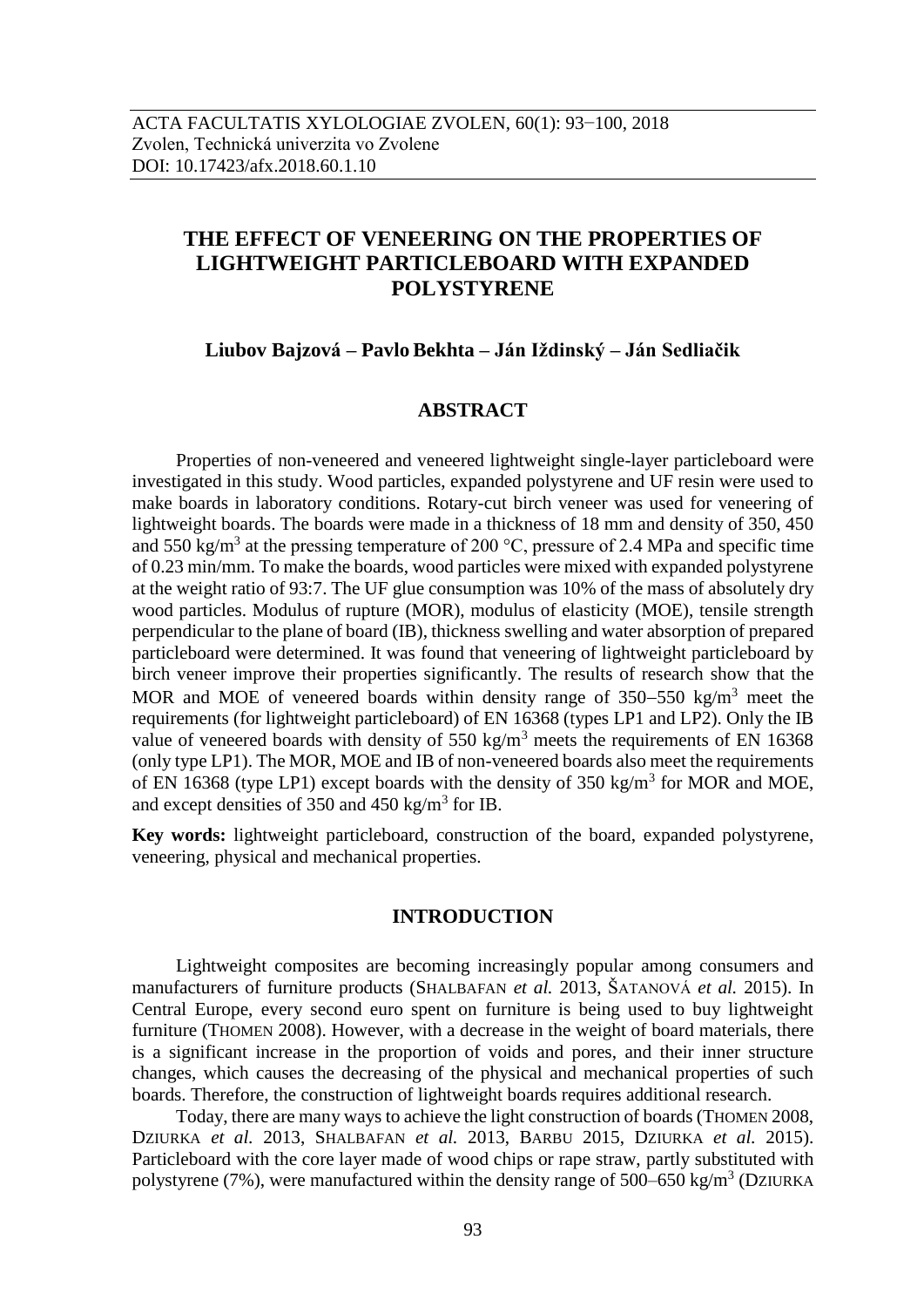# **THE EFFECT OF VENEERING ON THE PROPERTIES OF LIGHTWEIGHT PARTICLEBOARD WITH EXPANDED POLYSTYRENE**

**Liubov Bajzová – Pavlo Bekhta – Ján Iždinský – Ján Sedliačik**

# **ABSTRACT**

Properties of non-veneered and veneered lightweight single-layer particleboard were investigated in this study. Wood particles, expanded polystyrene and UF resin were used to make boards in laboratory conditions. Rotary-cut birch veneer was used for veneering of lightweight boards. The boards were made in a thickness of 18 mm and density of 350, 450 and 550 kg/m<sup>3</sup> at the pressing temperature of 200 °C, pressure of 2.4 MPa and specific time of 0.23 min/mm. To make the boards, wood particles were mixed with expanded polystyrene at the weight ratio of 93:7. The UF glue consumption was 10% of the mass of absolutely dry wood particles. Modulus of rupture (MOR), modulus of elasticity (MOE), tensile strength perpendicular to the plane of board (IB), thickness swelling and water absorption of prepared particleboard were determined. It was found that veneering of lightweight particleboard by birch veneer improve their properties significantly. The results of research show that the MOR and MOE of veneered boards within density range of  $350-550$  kg/m<sup>3</sup> meet the requirements (for lightweight particleboard) of EN 16368 (types LP1 and LP2). Only the IB value of veneered boards with density of  $550 \text{ kg/m}^3$  meets the requirements of EN 16368 (only type LP1). The MOR, MOE and IB of non-veneered boards also meet the requirements of EN 16368 (type LP1) except boards with the density of 350 kg/m<sup>3</sup> for MOR and MOE, and except densities of 350 and 450 kg/m<sup>3</sup> for IB.

**Key words:** lightweight particleboard, construction of the board, expanded polystyrene, veneering, physical and mechanical properties.

## **INTRODUCTION**

Lightweight composites are becoming increasingly popular among consumers and manufacturers of furniture products (SHALBAFAN *et al.* 2013, ŠATANOVÁ *et al.* 2015). In Central Europe, every second euro spent on furniture is being used to buy lightweight furniture (THOMEN 2008). However, with a decrease in the weight of board materials, there is a significant increase in the proportion of voids and pores, and their inner structure changes, which causes the decreasing of the physical and mechanical properties of such boards. Therefore, the construction of lightweight boards requires additional research.

Today, there are many ways to achieve the light construction of boards (THOMEN 2008, DZIURKA *et al.* 2013, SHALBAFAN *et al.* 2013, BARBU 2015, DZIURKA *et al.* 2015). Particleboard with the core layer made of wood chips or rape straw, partly substituted with polystyrene (7%), were manufactured within the density range of  $500-650 \text{ kg/m}^3$  (DZIURKA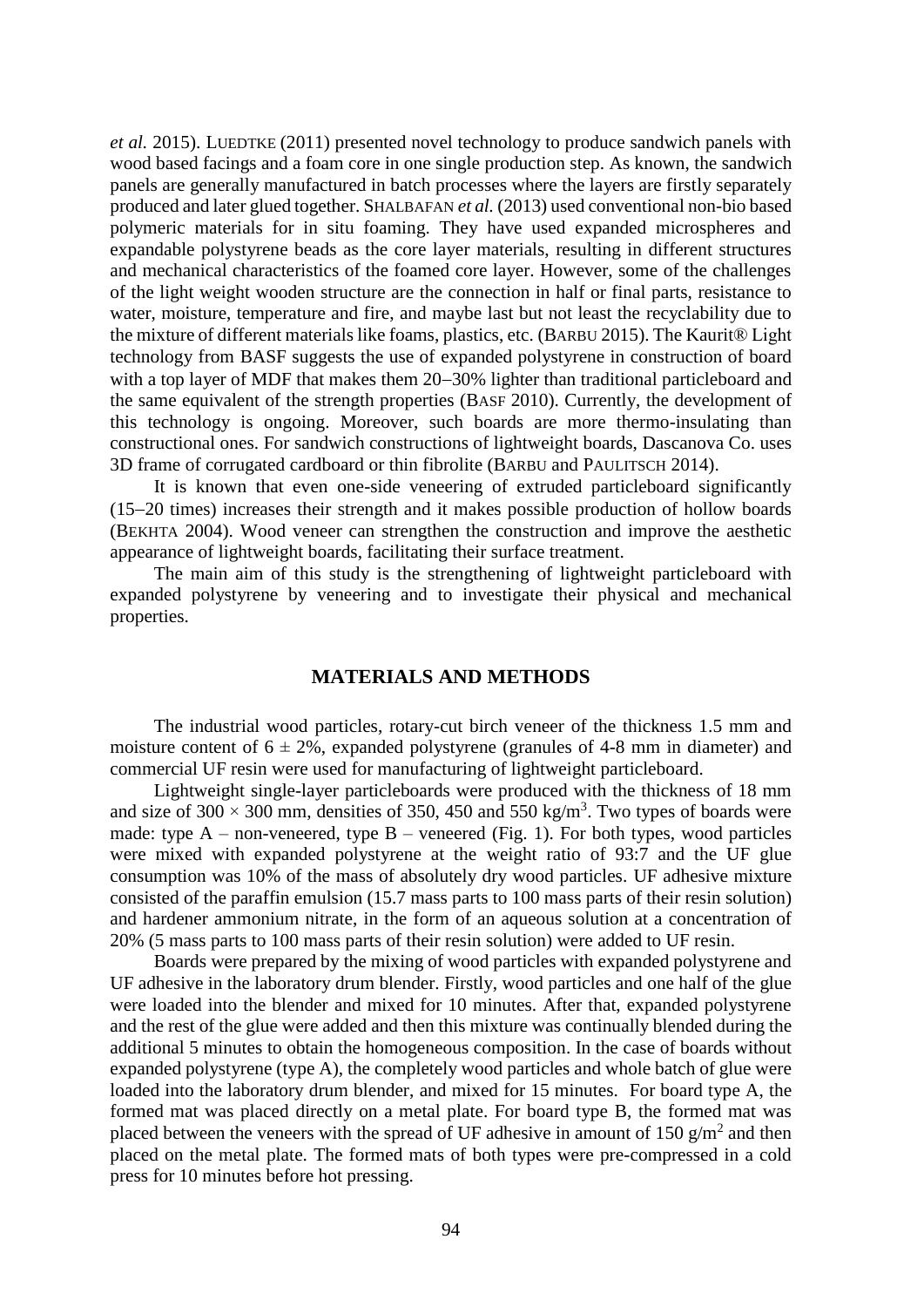*et al.* 2015). LUEDTKE (2011) presented novel technology to produce sandwich panels with wood based facings and a foam core in one single production step. As known, the sandwich panels are generally manufactured in batch processes where the layers are firstly separately produced and later glued together. SHALBAFAN *et al.* (2013) used conventional non-bio based polymeric materials for in situ foaming. They have used expanded microspheres and expandable polystyrene beads as the core layer materials, resulting in different structures and mechanical characteristics of the foamed core layer. However, some of the challenges of the light weight wooden structure are the connection in half or final parts, resistance to water, moisture, temperature and fire, and maybe last but not least the recyclability due to the mixture of different materials like foams, plastics, etc. (BARBU 2015). The Kaurit® Light technology from BASF suggests the use of expanded polystyrene in construction of board with a top layer of MDF that makes them 20–30% lighter than traditional particleboard and the same equivalent of the strength properties (BASF 2010). Currently, the development of this technology is ongoing. Moreover, such boards are more thermo-insulating than constructional ones. For sandwich constructions of lightweight boards, Dascanova Co. uses 3D frame of corrugated cardboard or thin fibrolite (BARBU and PAULITSCH 2014).

It is known that even one-side veneering of extruded particleboard significantly  $(15-20)$  times) increases their strength and it makes possible production of hollow boards (BEKHTA 2004). Wood veneer can strengthen the construction and improve the aesthetic appearance of lightweight boards, facilitating their surface treatment.

The main aim of this study is the strengthening of lightweight particleboard with expanded polystyrene by veneering and to investigate their physical and mechanical properties.

# **MATERIALS AND METHODS**

The industrial wood particles, rotary-cut birch veneer of the thickness 1.5 mm and moisture content of  $6 \pm 2\%$ , expanded polystyrene (granules of 4-8 mm in diameter) and commercial UF resin were used for manufacturing of lightweight particleboard.

Lightweight single-layer particleboards were produced with the thickness of 18 mm and size of 300  $\times$  300 mm, densities of 350, 450 and 550 kg/m<sup>3</sup>. Two types of boards were made: type  $A$  – non-veneered, type  $B$  – veneered (Fig. 1). For both types, wood particles were mixed with expanded polystyrene at the weight ratio of 93:7 and the UF glue consumption was 10% of the mass of absolutely dry wood particles. UF adhesive mixture consisted of the paraffin emulsion (15.7 mass parts to 100 mass parts of their resin solution) and hardener ammonium nitrate, in the form of an aqueous solution at a concentration of 20% (5 mass parts to 100 mass parts of their resin solution) were added to UF resin.

Boards were prepared by the mixing of wood particles with expanded polystyrene and UF adhesive in the laboratory drum blender. Firstly, wood particles and one half of the glue were loaded into the blender and mixed for 10 minutes. After that, expanded polystyrene and the rest of the glue were added and then this mixture was continually blended during the additional 5 minutes to obtain the homogeneous composition. In the case of boards without expanded polystyrene (type A), the completely wood particles and whole batch of glue were loaded into the laboratory drum blender, and mixed for 15 minutes. For board type A, the formed mat was placed directly on a metal plate. For board type B, the formed mat was placed between the veneers with the spread of UF adhesive in amount of 150  $g/m^2$  and then placed on the metal plate. The formed mats of both types were pre-compressed in a cold press for 10 minutes before hot pressing.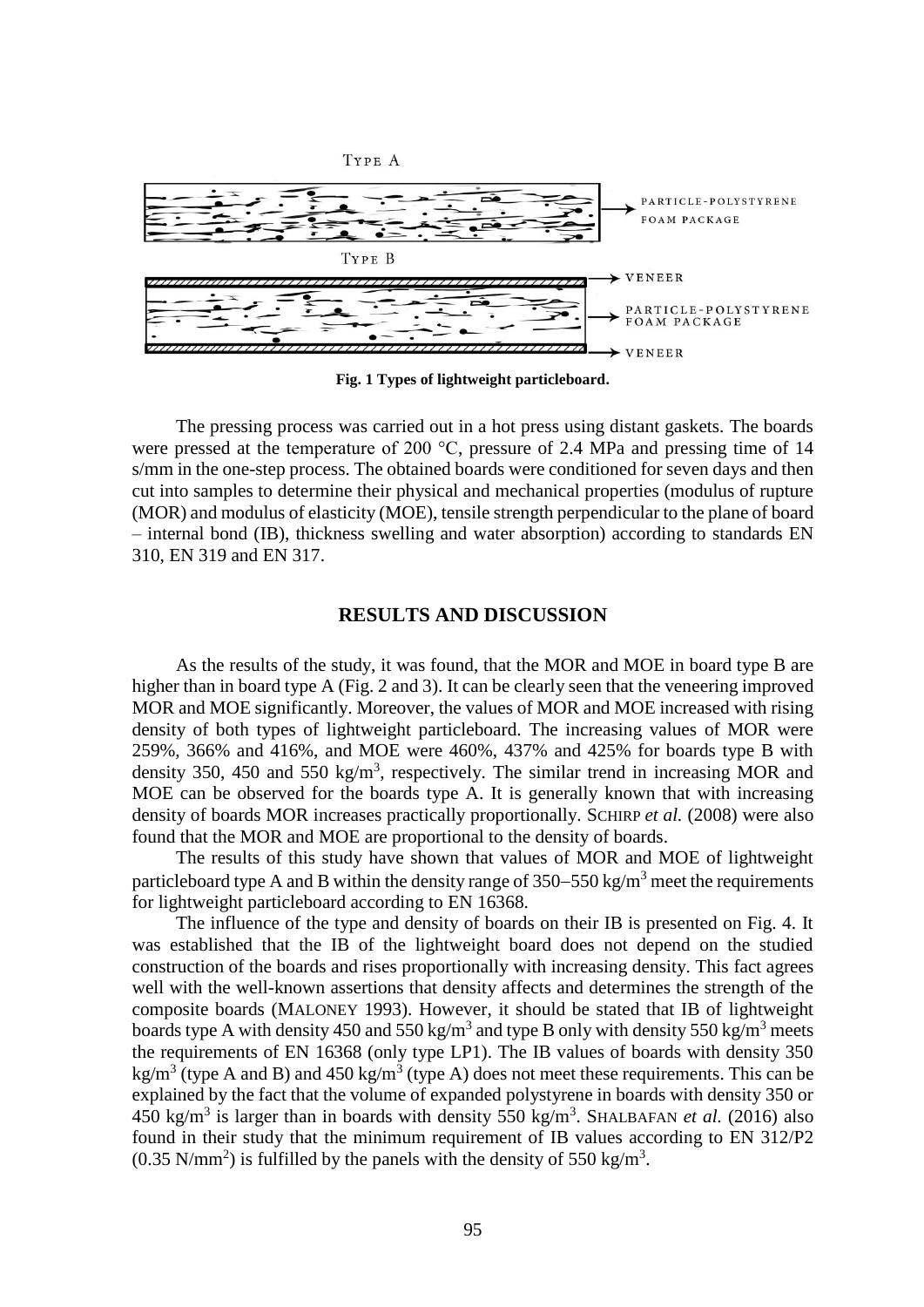

**Fig. 1 Types of lightweight particleboard.**

The pressing process was carried out in a hot press using distant gaskets. The boards were pressed at the temperature of 200 °C, pressure of 2.4 MPa and pressing time of 14 s/mm in the one-step process. The obtained boards were conditioned for seven days and then cut into samples to determine their physical and mechanical properties (modulus of rupture (MOR) and modulus of elasticity (MOE), tensile strength perpendicular to the plane of board – internal bond (IB), thickness swelling and water absorption) according to standards EN 310, EN 319 and EN 317.

## **RESULTS AND DISCUSSION**

As the results of the study, it was found, that the MOR and MOE in board type B are higher than in board type A (Fig. 2 and 3). It can be clearly seen that the veneering improved MOR and MOE significantly. Moreover, the values of MOR and MOE increased with rising density of both types of lightweight particleboard. The increasing values of MOR were 259%, 366% and 416%, and MOE were 460%, 437% and 425% for boards type B with density 350, 450 and 550 kg/m<sup>3</sup>, respectively. The similar trend in increasing MOR and MOE can be observed for the boards type A. It is generally known that with increasing density of boards MOR increases practically proportionally. SCHIRP *et al.* (2008) were also found that the MOR and MOE are proportional to the density of boards.

The results of this study have shown that values of MOR and MOE of lightweight particleboard type A and B within the density range of  $350-550$  kg/m<sup>3</sup> meet the requirements for lightweight particleboard according to EN 16368.

The influence of the type and density of boards on their IB is presented on Fig. 4. It was established that the IB of the lightweight board does not depend on the studied construction of the boards and rises proportionally with increasing density. This fact agrees well with the well-known assertions that density affects and determines the strength of the composite boards (MALONEY 1993). However, it should be stated that IB of lightweight boards type A with density 450 and 550 kg/m<sup>3</sup> and type B only with density 550 kg/m<sup>3</sup> meets the requirements of EN 16368 (only type LP1). The IB values of boards with density 350 kg/m<sup>3</sup> (type A and B) and 450 kg/m<sup>3</sup> (type A) does not meet these requirements. This can be explained by the fact that the volume of expanded polystyrene in boards with density 350 or 450 kg/m<sup>3</sup> is larger than in boards with density 550 kg/m<sup>3</sup>. SHALBAFAN *et al.* (2016) also found in their study that the minimum requirement of IB values according to EN 312/P2  $(0.35 \text{ N/mm}^2)$  is fulfilled by the panels with the density of 550 kg/m<sup>3</sup>.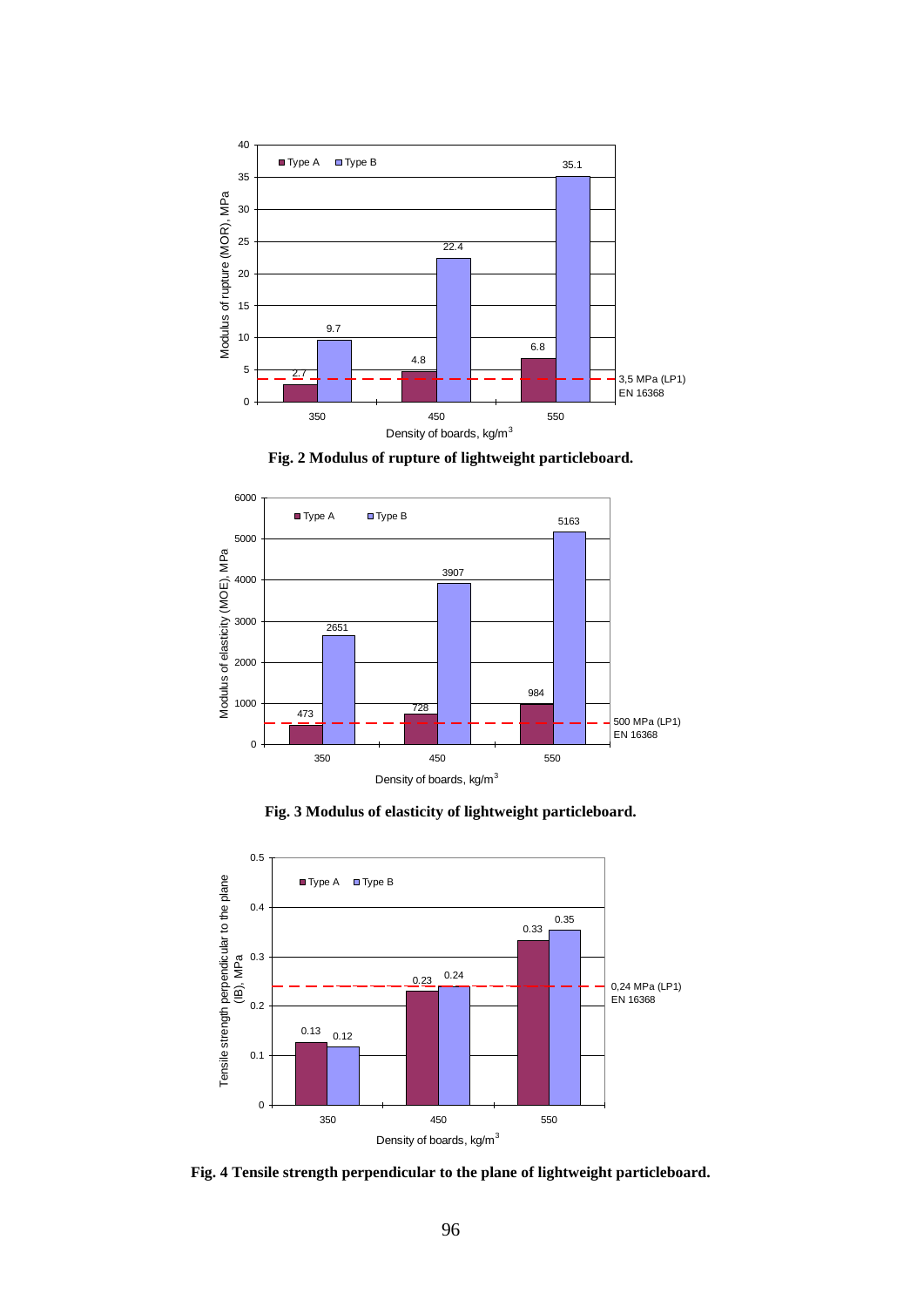

**Fig. 2 Modulus of rupture of lightweight particleboard.**



**Fig. 3 Modulus of elasticity of lightweight particleboard.**



**Fig. 4 Tensile strength perpendicular to the plane of lightweight particleboard.**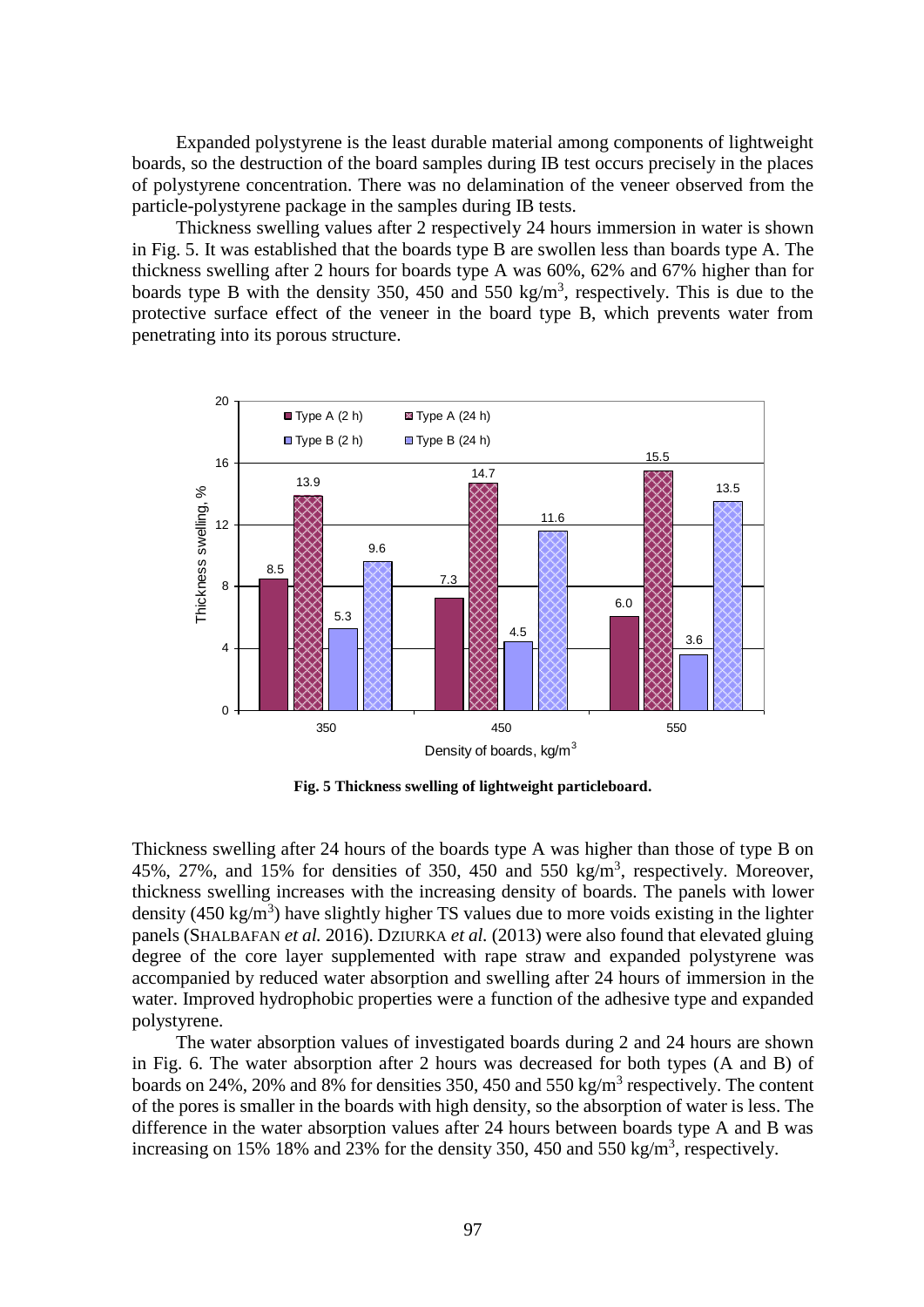Expanded polystyrene is the least durable material among components of lightweight boards, so the destruction of the board samples during IB test occurs precisely in the places of polystyrene concentration. There was no delamination of the veneer observed from the particle-polystyrene package in the samples during IB tests.

Thickness swelling values after 2 respectively 24 hours immersion in water is shown in Fig. 5. It was established that the boards type B are swollen less than boards type A. The thickness swelling after 2 hours for boards type A was 60%, 62% and 67% higher than for boards type B with the density 350, 450 and 550 kg/m<sup>3</sup>, respectively. This is due to the protective surface effect of the veneer in the board type B, which prevents water from penetrating into its porous structure.



**Fig. 5 Thickness swelling of lightweight particleboard.**

Thickness swelling after 24 hours of the boards type A was higher than those of type B on 45%, 27%, and 15% for densities of 350, 450 and 550 kg/m<sup>3</sup>, respectively. Moreover, thickness swelling increases with the increasing density of boards. The panels with lower density (450 kg/m<sup>3</sup>) have slightly higher TS values due to more voids existing in the lighter panels (SHALBAFAN *et al.* 2016). DZIURKA *et al.* (2013) were also found that elevated gluing degree of the core layer supplemented with rape straw and expanded polystyrene was accompanied by reduced water absorption and swelling after 24 hours of immersion in the water. Improved hydrophobic properties were a function of the adhesive type and expanded polystyrene.

The water absorption values of investigated boards during 2 and 24 hours are shown in Fig. 6. The water absorption after 2 hours was decreased for both types (A and B) of boards on 24%, 20% and 8% for densities 350, 450 and 550 kg/m<sup>3</sup> respectively. The content of the pores is smaller in the boards with high density, so the absorption of water is less. The difference in the water absorption values after 24 hours between boards type A and B was increasing on 15% 18% and  $\overline{23\%}$  for the density 350, 450 and 550 kg/m<sup>3</sup>, respectively.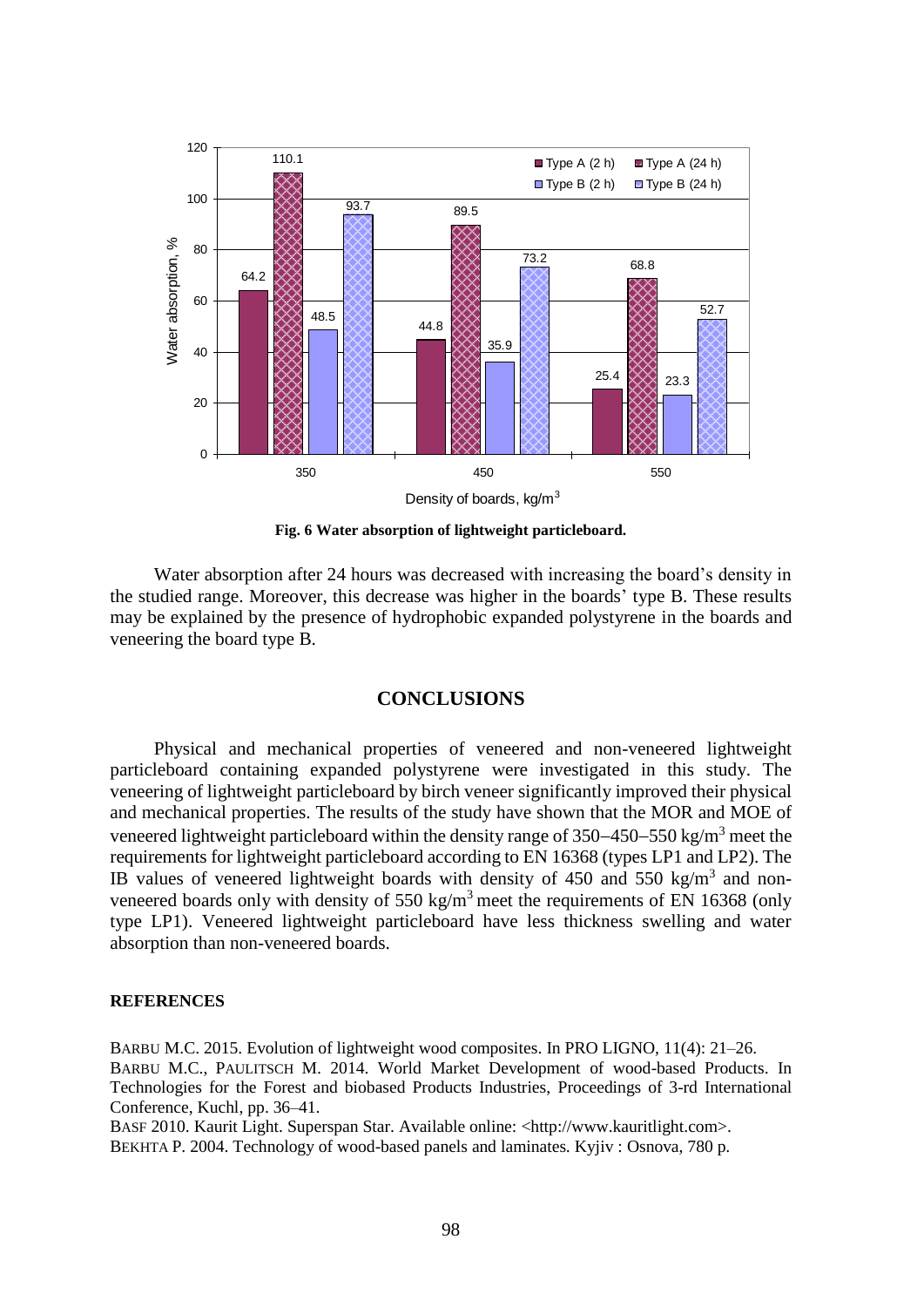

**Fig. 6 Water absorption of lightweight particleboard.**

Water absorption after 24 hours was decreased with increasing the board's density in the studied range. Moreover, this decrease was higher in the boards' type B. These results may be explained by the presence of hydrophobic expanded polystyrene in the boards and veneering the board type B.

# **CONCLUSIONS**

Physical and mechanical properties of veneered and non-veneered lightweight particleboard containing expanded polystyrene were investigated in this study. The veneering of lightweight particleboard by birch veneer significantly improved their physical and mechanical properties. The results of the study have shown that the MOR and MOE of veneered lightweight particleboard within the density range of  $350-450-550$  kg/m<sup>3</sup> meet the requirements for lightweight particleboard according to EN 16368 (types LP1 and LP2). The IB values of veneered lightweight boards with density of  $450$  and  $550$  kg/m<sup>3</sup> and nonveneered boards only with density of  $550 \text{ kg/m}^3$  meet the requirements of EN 16368 (only type LP1). Veneered lightweight particleboard have less thickness swelling and water absorption than non-veneered boards.

#### **REFERENCES**

BARBU M.C. 2015. Evolution of lightweight wood composites. In PRO LIGNO, 11(4): 21–26. BARBU M.C., PAULITSCH M. 2014. World Market Development of wood-based Products. In Technologies for the Forest and biobased Products Industries, Proceedings of 3-rd International Conference, Kuchl, pp. 36–41.

BASF 2010. Kaurit Light. Superspan Star. Available online: <http:/[/www.kauritlight.com>](http://www.kauritlight.com/). BEKHTA P. 2004. Technology of wood-based panels and laminates*.* Kyjiv : Osnova, 780 p*.*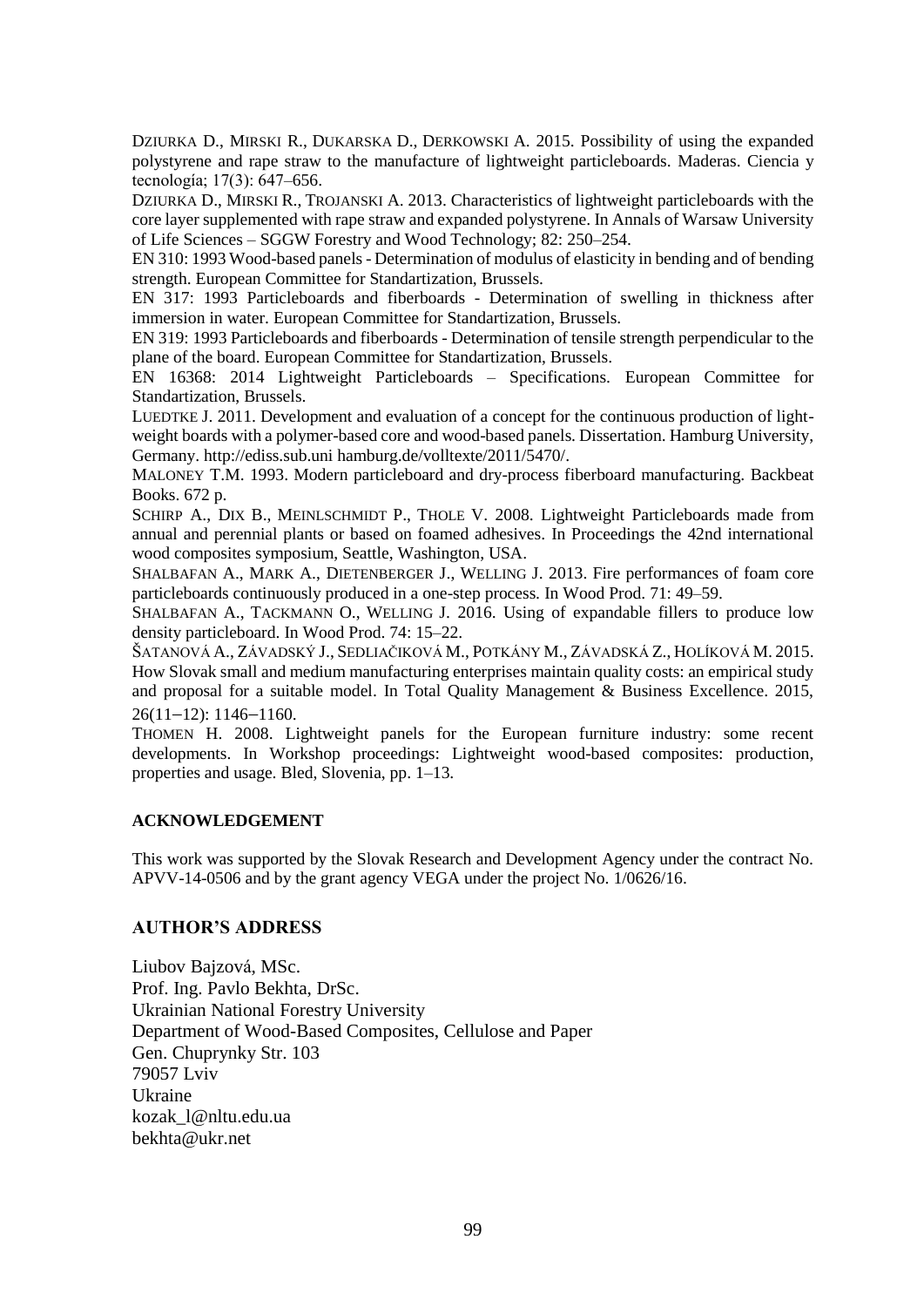DZIURKA D., MIRSKI R., DUKARSKA D., DERKOWSKI A. 2015. Possibility of using the expanded polystyrene and rape straw to the manufacture of lightweight particleboards. Maderas. Ciencia y tecnología; 17(3): 647–656.

DZIURKA D., MIRSKI R., TROJANSKI A. 2013. Characteristics of lightweight particleboards with the core layer supplemented with rape straw and expanded polystyrene. In Annals of Warsaw University of Life Sciences – SGGW Forestry and Wood Technology; 82: 250–254.

EN 310: 1993 Wood-based panels - Determination of modulus of elasticity in bending and of bending strength. European Committee for Standartization, Brussels.

EN 317: 1993 Particleboards and fiberboards - Determination of swelling in thickness after immersion in water. European Committee for Standartization, Brussels.

EN 319: 1993 Particleboards and fiberboards - Determination of tensile strength perpendicular to the plane of the board. European Committee for Standartization, Brussels.

EN 16368: 2014 Lightweight Particleboards – Specifications. European Committee for Standartization, Brussels.

LUEDTKE J. 2011. Development and evaluation of a concept for the continuous production of lightweight boards with a polymer-based core and wood-based panels. Dissertation. Hamburg University, Germany. http://ediss.sub.uni hamburg.de/volltexte/2011/5470/.

MALONEY [T.M. 1993.](https://www.amazon.com/Thomas-M.-Maloney/e/B001KIO5OI/ref=dp_byline_cont_book_1) Modern particleboard and dry-process fiberboard manufacturing. Backbeat Books. 672 p.

SCHIRP A., DIX B., MEINLSCHMIDT P., THOLE V. 2008. Lightweight Particleboards made from annual and perennial plants or based on foamed adhesives. In Proceedings the 42nd international wood composites symposium, Seattle, Washington, USA.

SHALBAFAN A., MARK A., DIETENBERGER J., WELLING J. 2013. Fire performances of foam core particleboards continuously produced in a one-step process*.* In Wood Prod. 71: 49–59.

SHALBAFAN A., TACKMANN O., WELLING J. 2016. Using of expandable fillers to produce low density particleboard. In Wood Prod. 74: 15–22.

ŠATANOVÁ A., ZÁVADSKÝ J., SEDLIAČIKOVÁ M., POTKÁNY M., ZÁVADSKÁ Z., HOLÍKOVÁ M. 2015. How Slovak small and medium manufacturing enterprises maintain quality costs: an empirical study and proposal for a suitable model. In Total Quality Management & Business Excellence. 2015,  $26(11-12): 1146-1160.$ 

THOMEN H. 2008. Lightweight panels for the European furniture industry: some recent developments. In Workshop proceedings: Lightweight wood-based composites: production, properties and usage. Bled, Slovenia, pp. 1–13.

#### **ACKNOWLEDGEMENT**

This work was supported by the Slovak Research and Development Agency under the contract No. APVV-14-0506 and by the grant agency VEGA under the project No. 1/0626/16.

#### **AUTHOR'S ADDRESS**

Liubov Bajzová, MSc. Prof. Ing. Pavlo Bekhta, DrSc. Ukrainian National Forestry University Department of Wood-Based Composites, Cellulose and Paper Gen. Chuprynky Str. 103 79057 Lviv Ukraine kozak\_l@nltu.edu.ua bekhta@ukr.net